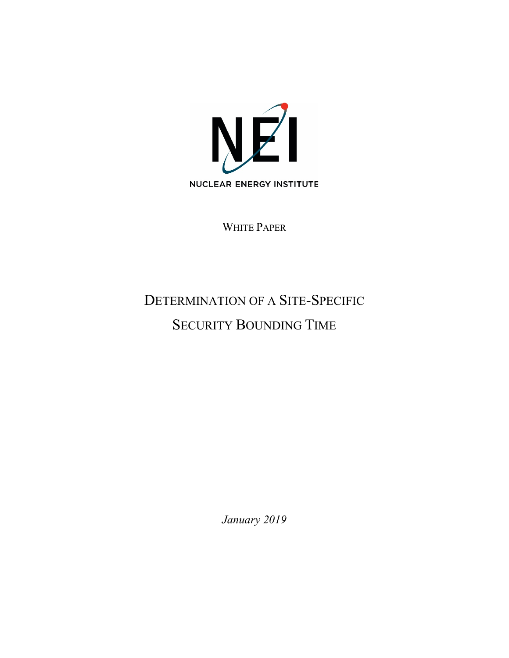

WHITE PAPER

# DETERMINATION OF A SITE-SPECIFIC SECURITY BOUNDING TIME

*January 2019*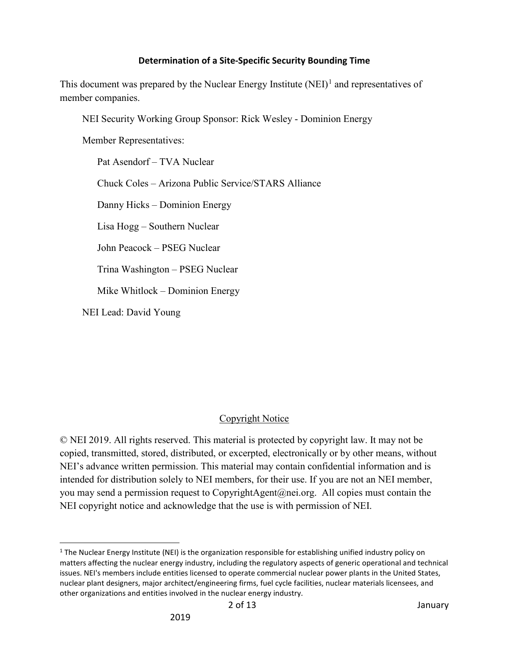This document was prepared by the Nuclear Energy Institute  $(NE)$ <sup>[1](#page-1-0)</sup> and representatives of member companies.

NEI Security Working Group Sponsor: Rick Wesley - Dominion Energy

Member Representatives:

Pat Asendorf – TVA Nuclear Chuck Coles – Arizona Public Service/STARS Alliance Danny Hicks – Dominion Energy Lisa Hogg – Southern Nuclear John Peacock – PSEG Nuclear Trina Washington – PSEG Nuclear Mike Whitlock – Dominion Energy NEI Lead: David Young

# Copyright Notice

© NEI 2019. All rights reserved. This material is protected by copyright law. It may not be copied, transmitted, stored, distributed, or excerpted, electronically or by other means, without NEI's advance written permission. This material may contain confidential information and is intended for distribution solely to NEI members, for their use. If you are not an NEI member, you may send a permission request to CopyrightAgent@nei.org. All copies must contain the NEI copyright notice and acknowledge that the use is with permission of NEI.

<span id="page-1-0"></span> $1$  The Nuclear Energy Institute (NEI) is the organization responsible for establishing unified industry policy on matters affecting the nuclear energy industry, including the regulatory aspects of generic operational and technical issues. NEI's members include entities licensed to operate commercial nuclear power plants in the United States, nuclear plant designers, major architect/engineering firms, fuel cycle facilities, nuclear materials licensees, and other organizations and entities involved in the nuclear energy industry.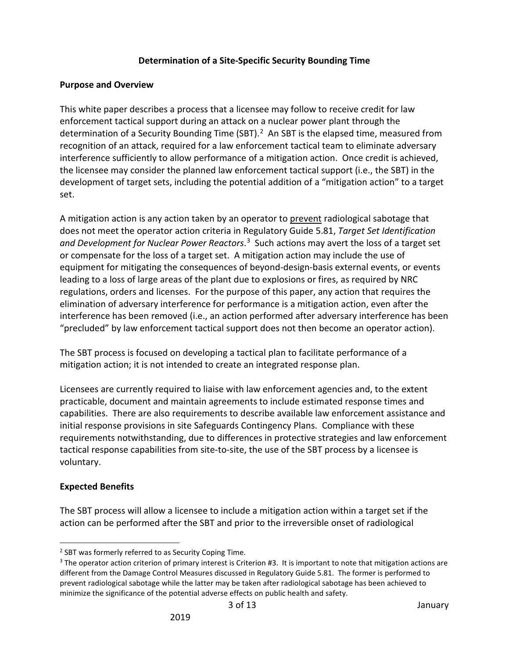### **Purpose and Overview**

This white paper describes a process that a licensee may follow to receive credit for law enforcement tactical support during an attack on a nuclear power plant through the determination of a Security Bounding Time (SBT).<sup>[2](#page-2-0)</sup> An SBT is the elapsed time, measured from recognition of an attack, required for a law enforcement tactical team to eliminate adversary interference sufficiently to allow performance of a mitigation action. Once credit is achieved, the licensee may consider the planned law enforcement tactical support (i.e., the SBT) in the development of target sets, including the potential addition of a "mitigation action" to a target set.

A mitigation action is any action taken by an operator to prevent radiological sabotage that does not meet the operator action criteria in Regulatory Guide 5.81, *Target Set Identification and Development for Nuclear Power Reactors*. [3](#page-2-1) Such actions may avert the loss of a target set or compensate for the loss of a target set. A mitigation action may include the use of equipment for mitigating the consequences of beyond-design-basis external events, or events leading to a loss of large areas of the plant due to explosions or fires, as required by NRC regulations, orders and licenses. For the purpose of this paper, any action that requires the elimination of adversary interference for performance is a mitigation action, even after the interference has been removed (i.e., an action performed after adversary interference has been "precluded" by law enforcement tactical support does not then become an operator action).

The SBT process is focused on developing a tactical plan to facilitate performance of a mitigation action; it is not intended to create an integrated response plan.

Licensees are currently required to liaise with law enforcement agencies and, to the extent practicable, document and maintain agreements to include estimated response times and capabilities. There are also requirements to describe available law enforcement assistance and initial response provisions in site Safeguards Contingency Plans. Compliance with these requirements notwithstanding, due to differences in protective strategies and law enforcement tactical response capabilities from site-to-site, the use of the SBT process by a licensee is voluntary.

# **Expected Benefits**

The SBT process will allow a licensee to include a mitigation action within a target set if the action can be performed after the SBT and prior to the irreversible onset of radiological

<span id="page-2-0"></span> <sup>2</sup> SBT was formerly referred to as Security Coping Time.

<span id="page-2-1"></span><sup>&</sup>lt;sup>3</sup> The operator action criterion of primary interest is Criterion #3. It is important to note that mitigation actions are different from the Damage Control Measures discussed in Regulatory Guide 5.81. The former is performed to prevent radiological sabotage while the latter may be taken after radiological sabotage has been achieved to minimize the significance of the potential adverse effects on public health and safety.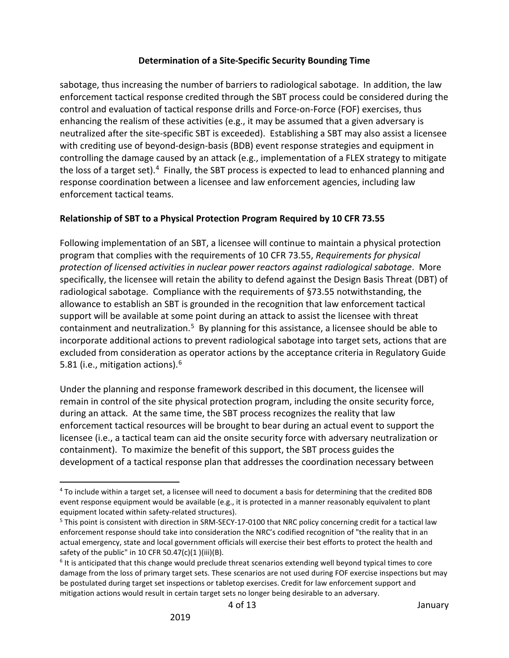sabotage, thus increasing the number of barriers to radiological sabotage. In addition, the law enforcement tactical response credited through the SBT process could be considered during the control and evaluation of tactical response drills and Force-on-Force (FOF) exercises, thus enhancing the realism of these activities (e.g., it may be assumed that a given adversary is neutralized after the site-specific SBT is exceeded). Establishing a SBT may also assist a licensee with crediting use of beyond-design-basis (BDB) event response strategies and equipment in controlling the damage caused by an attack (e.g., implementation of a FLEX strategy to mitigate the loss of a target set).<sup>4</sup> Finally, the SBT process is expected to lead to enhanced planning and response coordination between a licensee and law enforcement agencies, including law enforcement tactical teams.

# **Relationship of SBT to a Physical Protection Program Required by 10 CFR 73.55**

Following implementation of an SBT, a licensee will continue to maintain a physical protection program that complies with the requirements of 10 CFR 73.55, *Requirements for physical protection of licensed activities in nuclear power reactors against radiological sabotage*. More specifically, the licensee will retain the ability to defend against the Design Basis Threat (DBT) of radiological sabotage. Compliance with the requirements of §73.55 notwithstanding, the allowance to establish an SBT is grounded in the recognition that law enforcement tactical support will be available at some point during an attack to assist the licensee with threat containment and neutralization.<sup>5</sup> By planning for this assistance, a licensee should be able to incorporate additional actions to prevent radiological sabotage into target sets, actions that are excluded from consideration as operator actions by the acceptance criteria in Regulatory Guide 5.81 (i.e., mitigation actions).<sup>6</sup>

Under the planning and response framework described in this document, the licensee will remain in control of the site physical protection program, including the onsite security force, during an attack. At the same time, the SBT process recognizes the reality that law enforcement tactical resources will be brought to bear during an actual event to support the licensee (i.e., a tactical team can aid the onsite security force with adversary neutralization or containment). To maximize the benefit of this support, the SBT process guides the development of a tactical response plan that addresses the coordination necessary between

<span id="page-3-0"></span> <sup>4</sup> To include within a target set, a licensee will need to document a basis for determining that the credited BDB event response equipment would be available (e.g., it is protected in a manner reasonably equivalent to plant equipment located within safety-related structures).<br><sup>5</sup> This point is consistent with direction in SRM-SECY-17-0100 that NRC policy concerning credit for a tactical law

<span id="page-3-1"></span>enforcement response should take into consideration the NRC's codified recognition of "the reality that in an actual emergency, state and local government officials will exercise their best efforts to protect the health and safety of the public" in 10 CFR 50.47(c)(1 )(iii)(B).<br><sup>6</sup> It is anticipated that this change would preclude threat scenarios extending well beyond typical times to core

<span id="page-3-2"></span>damage from the loss of primary target sets. These scenarios are not used during FOF exercise inspections but may be postulated during target set inspections or tabletop exercises. Credit for law enforcement support and mitigation actions would result in certain target sets no longer being desirable to an adversary.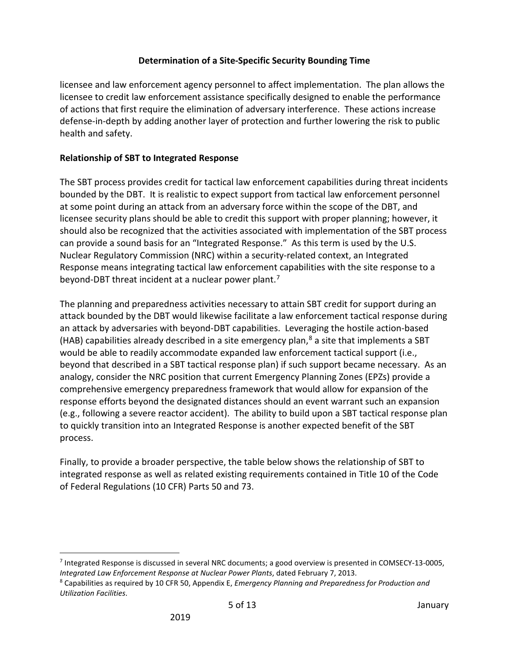licensee and law enforcement agency personnel to affect implementation. The plan allows the licensee to credit law enforcement assistance specifically designed to enable the performance of actions that first require the elimination of adversary interference. These actions increase defense-in-depth by adding another layer of protection and further lowering the risk to public health and safety.

# **Relationship of SBT to Integrated Response**

The SBT process provides credit for tactical law enforcement capabilities during threat incidents bounded by the DBT. It is realistic to expect support from tactical law enforcement personnel at some point during an attack from an adversary force within the scope of the DBT, and licensee security plans should be able to credit this support with proper planning; however, it should also be recognized that the activities associated with implementation of the SBT process can provide a sound basis for an "Integrated Response." As this term is used by the U.S. Nuclear Regulatory Commission (NRC) within a security-related context, an Integrated Response means integrating tactical law enforcement capabilities with the site response to a beyond-DBT threat incident at a nuclear power plant.<sup>7</sup>

The planning and preparedness activities necessary to attain SBT credit for support during an attack bounded by the DBT would likewise facilitate a law enforcement tactical response during an attack by adversaries with beyond-DBT capabilities. Leveraging the hostile action-based (HAB) capabilities already described in a site emergency plan, $8$  a site that implements a SBT would be able to readily accommodate expanded law enforcement tactical support (i.e., beyond that described in a SBT tactical response plan) if such support became necessary. As an analogy, consider the NRC position that current Emergency Planning Zones (EPZs) provide a comprehensive emergency preparedness framework that would allow for expansion of the response efforts beyond the designated distances should an event warrant such an expansion (e.g., following a severe reactor accident). The ability to build upon a SBT tactical response plan to quickly transition into an Integrated Response is another expected benefit of the SBT process.

Finally, to provide a broader perspective, the table below shows the relationship of SBT to integrated response as well as related existing requirements contained in Title 10 of the Code of Federal Regulations (10 CFR) Parts 50 and 73.

<span id="page-4-0"></span> <sup>7</sup> Integrated Response is discussed in several NRC documents; a good overview is presented in COMSECY-13-0005, *Integrated Law Enforcement Response at Nuclear Power Plants*, dated February 7, 2013.

<span id="page-4-1"></span><sup>8</sup> Capabilities as required by 10 CFR 50, Appendix E, *Emergency Planning and Preparedness for Production and Utilization Facilities*.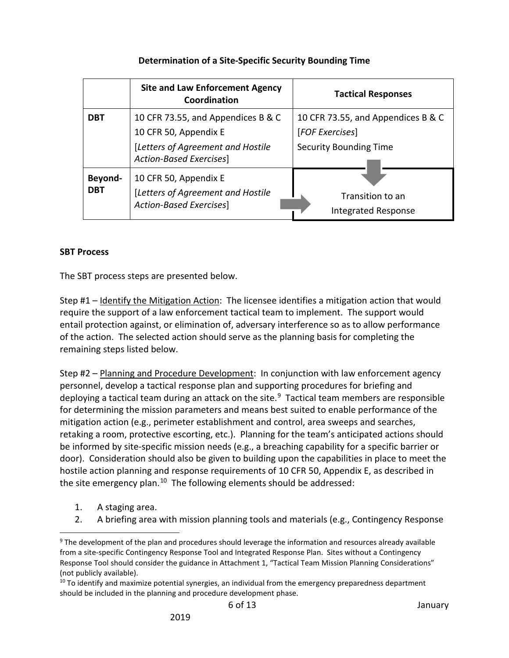|                       | <b>Site and Law Enforcement Agency</b><br>Coordination                                | <b>Tactical Responses</b>                      |
|-----------------------|---------------------------------------------------------------------------------------|------------------------------------------------|
| <b>DBT</b>            | 10 CFR 73.55, and Appendices B & C                                                    | 10 CFR 73.55, and Appendices B & C             |
|                       | 10 CFR 50, Appendix E                                                                 | [FOF Exercises]                                |
|                       | [Letters of Agreement and Hostile<br>Action-Based Exercises]                          | <b>Security Bounding Time</b>                  |
| Beyond-<br><b>DBT</b> | 10 CFR 50, Appendix E<br>[Letters of Agreement and Hostile<br>Action-Based Exercises] | Transition to an<br><b>Integrated Response</b> |

## **SBT Process**

The SBT process steps are presented below.

Step #1 – Identify the Mitigation Action:The licensee identifies a mitigation action that would require the support of a law enforcement tactical team to implement. The support would entail protection against, or elimination of, adversary interference so as to allow performance of the action. The selected action should serve as the planning basis for completing the remaining steps listed below.

Step #2 – Planning and Procedure Development: In conjunction with law enforcement agency personnel, develop a tactical response plan and supporting procedures for briefing and deploying a tactical team during an attack on the site. $9$  Tactical team members are responsible for determining the mission parameters and means best suited to enable performance of the mitigation action (e.g., perimeter establishment and control, area sweeps and searches, retaking a room, protective escorting, etc.). Planning for the team's anticipated actions should be informed by site-specific mission needs (e.g., a breaching capability for a specific barrier or door). Consideration should also be given to building upon the capabilities in place to meet the hostile action planning and response requirements of 10 CFR 50, Appendix E, as described in the site emergency plan.<sup>10</sup> The following elements should be addressed:

- 1. A staging area.
- 2. A briefing area with mission planning tools and materials (e.g., Contingency Response

6 of 13 January

<span id="page-5-0"></span><sup>&</sup>lt;sup>9</sup> The development of the plan and procedures should leverage the information and resources already available from a site-specific Contingency Response Tool and Integrated Response Plan. Sites without a Contingency Response Tool should consider the guidance in Attachment 1, "Tactical Team Mission Planning Considerations" (not publicly available).

<span id="page-5-1"></span> $10$  To identify and maximize potential synergies, an individual from the emergency preparedness department should be included in the planning and procedure development phase.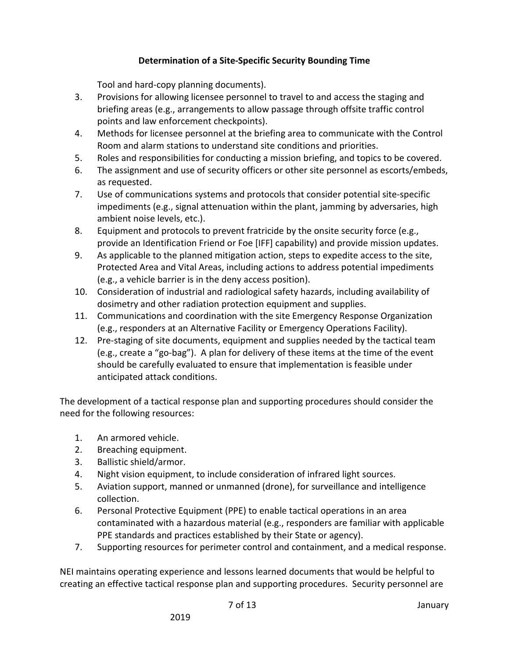Tool and hard-copy planning documents).

- 3. Provisions for allowing licensee personnel to travel to and access the staging and briefing areas (e.g., arrangements to allow passage through offsite traffic control points and law enforcement checkpoints).
- 4. Methods for licensee personnel at the briefing area to communicate with the Control Room and alarm stations to understand site conditions and priorities.
- 5. Roles and responsibilities for conducting a mission briefing, and topics to be covered.
- 6. The assignment and use of security officers or other site personnel as escorts/embeds, as requested.
- 7. Use of communications systems and protocols that consider potential site-specific impediments (e.g., signal attenuation within the plant, jamming by adversaries, high ambient noise levels, etc.).
- 8. Equipment and protocols to prevent fratricide by the onsite security force (e.g., provide an Identification Friend or Foe [IFF] capability) and provide mission updates.
- 9. As applicable to the planned mitigation action, steps to expedite access to the site, Protected Area and Vital Areas, including actions to address potential impediments (e.g., a vehicle barrier is in the deny access position).
- 10. Consideration of industrial and radiological safety hazards, including availability of dosimetry and other radiation protection equipment and supplies.
- 11. Communications and coordination with the site Emergency Response Organization (e.g., responders at an Alternative Facility or Emergency Operations Facility).
- 12. Pre-staging of site documents, equipment and supplies needed by the tactical team (e.g., create a "go-bag"). A plan for delivery of these items at the time of the event should be carefully evaluated to ensure that implementation is feasible under anticipated attack conditions.

The development of a tactical response plan and supporting procedures should consider the need for the following resources:

- 1. An armored vehicle.
- 2. Breaching equipment.
- 3. Ballistic shield/armor.
- 4. Night vision equipment, to include consideration of infrared light sources.
- 5. Aviation support, manned or unmanned (drone), for surveillance and intelligence collection.
- 6. Personal Protective Equipment (PPE) to enable tactical operations in an area contaminated with a hazardous material (e.g., responders are familiar with applicable PPE standards and practices established by their State or agency).
- 7. Supporting resources for perimeter control and containment, and a medical response.

NEI maintains operating experience and lessons learned documents that would be helpful to creating an effective tactical response plan and supporting procedures. Security personnel are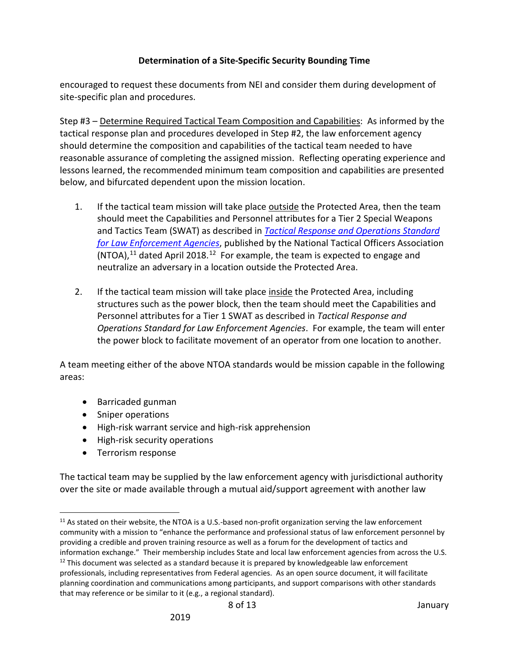encouraged to request these documents from NEI and consider them during development of site-specific plan and procedures.

Step #3 – Determine Required Tactical Team Composition and Capabilities: As informed by the tactical response plan and procedures developed in Step #2, the law enforcement agency should determine the composition and capabilities of the tactical team needed to have reasonable assurance of completing the assigned mission. Reflecting operating experience and lessons learned, the recommended minimum team composition and capabilities are presented below, and bifurcated dependent upon the mission location.

- 1. If the tactical team mission will take place outside the Protected Area, then the team should meet the Capabilities and Personnel attributes for a Tier 2 Special Weapons and Tactics Team (SWAT) as described in *[Tactical Response and Operations Standard](http://ntoa.org/pdf/swatstandards.pdf)  [for Law Enforcement Agencies](http://ntoa.org/pdf/swatstandards.pdf)*, published by the National Tactical Officers Association  $\overline{(NTOA),^{11}}$  $\overline{(NTOA),^{11}}$  $\overline{(NTOA),^{11}}$  dated April 2018.<sup>12</sup> For example, the team is expected to engage and neutralize an adversary in a location outside the Protected Area.
- 2. If the tactical team mission will take place inside the Protected Area, including structures such as the power block, then the team should meet the Capabilities and Personnel attributes for a Tier 1 SWAT as described in *Tactical Response and Operations Standard for Law Enforcement Agencies*. For example, the team will enter the power block to facilitate movement of an operator from one location to another.

A team meeting either of the above NTOA standards would be mission capable in the following areas:

- Barricaded gunman
- Sniper operations
- High-risk warrant service and high-risk apprehension
- High-risk security operations
- Terrorism response

The tactical team may be supplied by the law enforcement agency with jurisdictional authority over the site or made available through a mutual aid/support agreement with another law

<span id="page-7-0"></span> $11$  As stated on their website, the NTOA is a U.S.-based non-profit organization serving the law enforcement community with a mission to "enhance the performance and professional status of law enforcement personnel by providing a credible and proven training resource as well as a forum for the development of tactics and information exchange." Their membership includes State and local law enforcement agencies from across the U.S.

<span id="page-7-1"></span> $12$  This document was selected as a standard because it is prepared by knowledgeable law enforcement professionals, including representatives from Federal agencies. As an open source document, it will facilitate planning coordination and communications among participants, and support comparisons with other standards that may reference or be similar to it (e.g., a regional standard).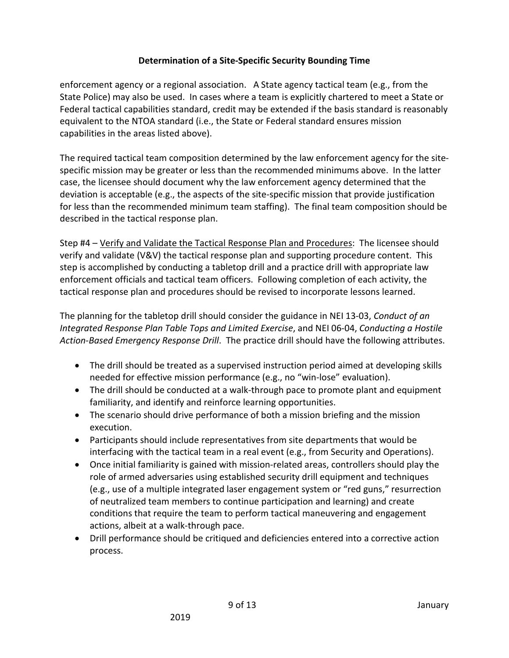enforcement agency or a regional association. A State agency tactical team (e.g., from the State Police) may also be used. In cases where a team is explicitly chartered to meet a State or Federal tactical capabilities standard, credit may be extended if the basis standard is reasonably equivalent to the NTOA standard (i.e., the State or Federal standard ensures mission capabilities in the areas listed above).

The required tactical team composition determined by the law enforcement agency for the sitespecific mission may be greater or less than the recommended minimums above. In the latter case, the licensee should document why the law enforcement agency determined that the deviation is acceptable (e.g., the aspects of the site-specific mission that provide justification for less than the recommended minimum team staffing). The final team composition should be described in the tactical response plan.

Step #4 – Verify and Validate the Tactical Response Plan and Procedures: The licensee should verify and validate (V&V) the tactical response plan and supporting procedure content. This step is accomplished by conducting a tabletop drill and a practice drill with appropriate law enforcement officials and tactical team officers. Following completion of each activity, the tactical response plan and procedures should be revised to incorporate lessons learned.

The planning for the tabletop drill should consider the guidance in NEI 13-03, *Conduct of an Integrated Response Plan Table Tops and Limited Exercise*, and NEI 06-04, *Conducting a Hostile Action-Based Emergency Response Drill*. The practice drill should have the following attributes.

- The drill should be treated as a supervised instruction period aimed at developing skills needed for effective mission performance (e.g., no "win-lose" evaluation).
- The drill should be conducted at a walk-through pace to promote plant and equipment familiarity, and identify and reinforce learning opportunities.
- The scenario should drive performance of both a mission briefing and the mission execution.
- Participants should include representatives from site departments that would be interfacing with the tactical team in a real event (e.g., from Security and Operations).
- Once initial familiarity is gained with mission-related areas, controllers should play the role of armed adversaries using established security drill equipment and techniques (e.g., use of a multiple integrated laser engagement system or "red guns," resurrection of neutralized team members to continue participation and learning) and create conditions that require the team to perform tactical maneuvering and engagement actions, albeit at a walk-through pace.
- Drill performance should be critiqued and deficiencies entered into a corrective action process.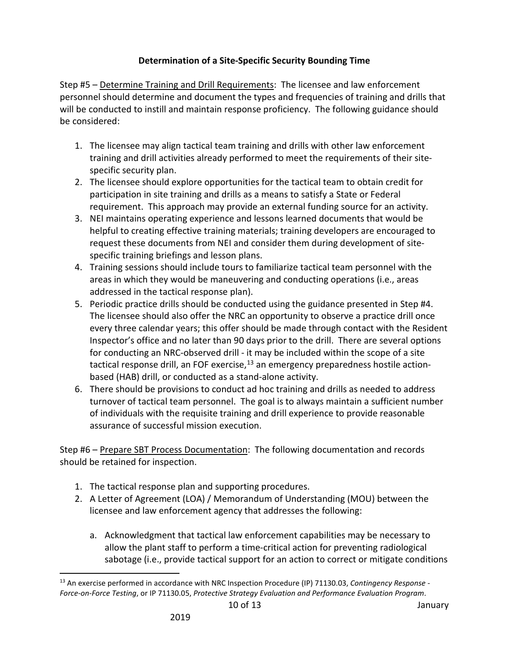Step #5 – Determine Training and Drill Requirements: The licensee and law enforcement personnel should determine and document the types and frequencies of training and drills that will be conducted to instill and maintain response proficiency. The following guidance should be considered:

- 1. The licensee may align tactical team training and drills with other law enforcement training and drill activities already performed to meet the requirements of their sitespecific security plan.
- 2. The licensee should explore opportunities for the tactical team to obtain credit for participation in site training and drills as a means to satisfy a State or Federal requirement. This approach may provide an external funding source for an activity.
- 3. NEI maintains operating experience and lessons learned documents that would be helpful to creating effective training materials; training developers are encouraged to request these documents from NEI and consider them during development of sitespecific training briefings and lesson plans.
- 4. Training sessions should include tours to familiarize tactical team personnel with the areas in which they would be maneuvering and conducting operations (i.e., areas addressed in the tactical response plan).
- 5. Periodic practice drills should be conducted using the guidance presented in Step #4. The licensee should also offer the NRC an opportunity to observe a practice drill once every three calendar years; this offer should be made through contact with the Resident Inspector's office and no later than 90 days prior to the drill. There are several options for conducting an NRC-observed drill - it may be included within the scope of a site tactical response drill, an FOF exercise, $13$  an emergency preparedness hostile actionbased (HAB) drill, or conducted as a stand-alone activity.
- 6. There should be provisions to conduct ad hoc training and drills as needed to address turnover of tactical team personnel. The goal is to always maintain a sufficient number of individuals with the requisite training and drill experience to provide reasonable assurance of successful mission execution.

Step #6 – Prepare SBT Process Documentation: The following documentation and records should be retained for inspection.

- 1. The tactical response plan and supporting procedures.
- 2. A Letter of Agreement (LOA) / Memorandum of Understanding (MOU) between the licensee and law enforcement agency that addresses the following:
	- a. Acknowledgment that tactical law enforcement capabilities may be necessary to allow the plant staff to perform a time-critical action for preventing radiological sabotage (i.e., provide tactical support for an action to correct or mitigate conditions

<span id="page-9-0"></span> <sup>13</sup> An exercise performed in accordance with NRC Inspection Procedure (IP) 71130.03, *Contingency Response - Force-on-Force Testing*, or IP 71130.05, *Protective Strategy Evaluation and Performance Evaluation Program*.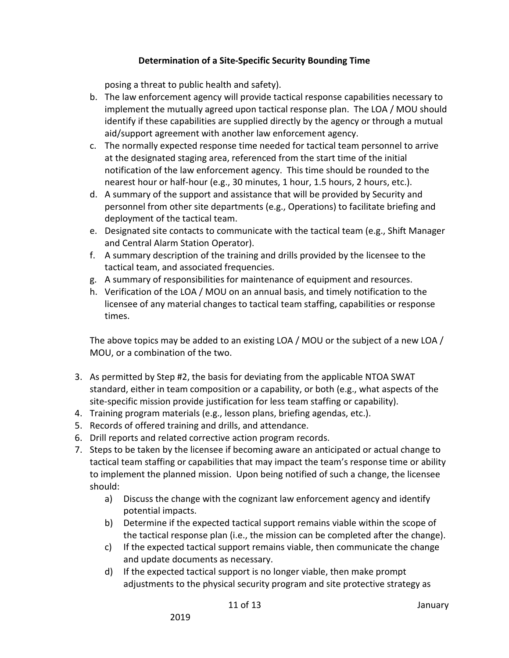posing a threat to public health and safety).

- b. The law enforcement agency will provide tactical response capabilities necessary to implement the mutually agreed upon tactical response plan. The LOA / MOU should identify if these capabilities are supplied directly by the agency or through a mutual aid/support agreement with another law enforcement agency.
- c. The normally expected response time needed for tactical team personnel to arrive at the designated staging area, referenced from the start time of the initial notification of the law enforcement agency. This time should be rounded to the nearest hour or half-hour (e.g., 30 minutes, 1 hour, 1.5 hours, 2 hours, etc.).
- d. A summary of the support and assistance that will be provided by Security and personnel from other site departments (e.g., Operations) to facilitate briefing and deployment of the tactical team.
- e. Designated site contacts to communicate with the tactical team (e.g., Shift Manager and Central Alarm Station Operator).
- f. A summary description of the training and drills provided by the licensee to the tactical team, and associated frequencies.
- g. A summary of responsibilities for maintenance of equipment and resources.
- h. Verification of the LOA / MOU on an annual basis, and timely notification to the licensee of any material changes to tactical team staffing, capabilities or response times.

The above topics may be added to an existing LOA / MOU or the subject of a new LOA / MOU, or a combination of the two.

- 3. As permitted by Step #2, the basis for deviating from the applicable NTOA SWAT standard, either in team composition or a capability, or both (e.g., what aspects of the site-specific mission provide justification for less team staffing or capability).
- 4. Training program materials (e.g., lesson plans, briefing agendas, etc.).
- 5. Records of offered training and drills, and attendance.
- 6. Drill reports and related corrective action program records.
- 7. Steps to be taken by the licensee if becoming aware an anticipated or actual change to tactical team staffing or capabilities that may impact the team's response time or ability to implement the planned mission. Upon being notified of such a change, the licensee should:
	- a) Discuss the change with the cognizant law enforcement agency and identify potential impacts.
	- b) Determine if the expected tactical support remains viable within the scope of the tactical response plan (i.e., the mission can be completed after the change).
	- c) If the expected tactical support remains viable, then communicate the change and update documents as necessary.
	- d) If the expected tactical support is no longer viable, then make prompt adjustments to the physical security program and site protective strategy as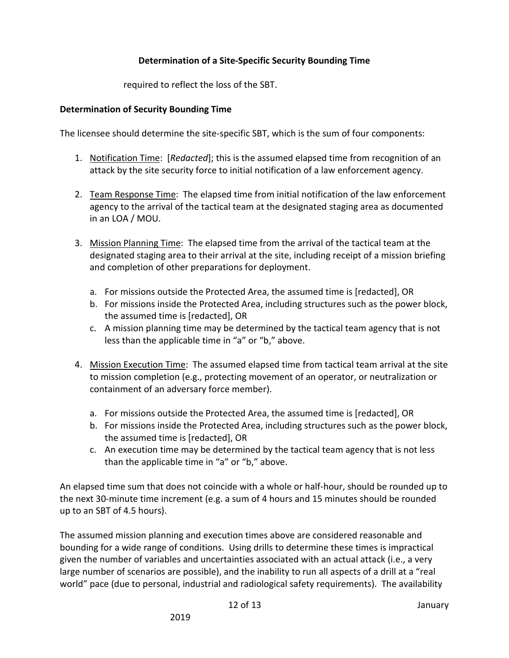required to reflect the loss of the SBT.

## **Determination of Security Bounding Time**

The licensee should determine the site-specific SBT, which is the sum of four components:

- 1. Notification Time: [*Redacted*]; this is the assumed elapsed time from recognition of an attack by the site security force to initial notification of a law enforcement agency.
- 2. Team Response Time: The elapsed time from initial notification of the law enforcement agency to the arrival of the tactical team at the designated staging area as documented in an LOA / MOU.
- 3. Mission Planning Time: The elapsed time from the arrival of the tactical team at the designated staging area to their arrival at the site, including receipt of a mission briefing and completion of other preparations for deployment.
	- a. For missions outside the Protected Area, the assumed time is [redacted], OR
	- b. For missions inside the Protected Area, including structures such as the power block, the assumed time is [redacted], OR
	- c. A mission planning time may be determined by the tactical team agency that is not less than the applicable time in "a" or "b," above.
- 4. Mission Execution Time: The assumed elapsed time from tactical team arrival at the site to mission completion (e.g., protecting movement of an operator, or neutralization or containment of an adversary force member).
	- a. For missions outside the Protected Area, the assumed time is [redacted], OR
	- b. For missions inside the Protected Area, including structures such as the power block, the assumed time is [redacted], OR
	- c. An execution time may be determined by the tactical team agency that is not less than the applicable time in "a" or "b," above.

An elapsed time sum that does not coincide with a whole or half-hour, should be rounded up to the next 30-minute time increment (e.g. a sum of 4 hours and 15 minutes should be rounded up to an SBT of 4.5 hours).

The assumed mission planning and execution times above are considered reasonable and bounding for a wide range of conditions. Using drills to determine these times is impractical given the number of variables and uncertainties associated with an actual attack (i.e., a very large number of scenarios are possible), and the inability to run all aspects of a drill at a "real world" pace (due to personal, industrial and radiological safety requirements). The availability